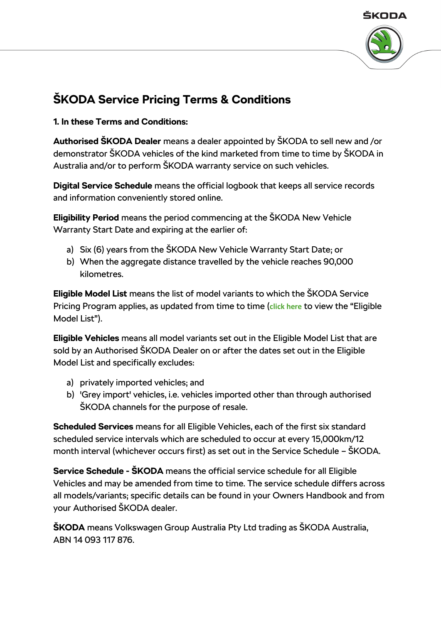



# **ŠKODA Service Pricing Terms & Conditions**

**1. In these Terms and Conditions:**

**Authorised ŠKODA Dealer** means a dealer appointed by ŠKODA to sell new and /or demonstrator ŠKODA vehicles of the kind marketed from time to time by ŠKODA in Australia and/or to perform ŠKODA warranty service on such vehicles.

**Digital Service Schedule** means the official logbook that keeps all service records and information conveniently stored online.

**Eligibility Period** means the period commencing at the ŠKODA New Vehicle Warranty Start Date and expiring at the earlier of:

- a) Six (6) years from the ŠKODA New Vehicle Warranty Start Date; or
- b) When the aggregate distance travelled by the vehicle reaches 90,000 kilometres.

**Eligible Model List** means the list of model variants to which the ŠKODA Service Pricing Program applies, as updated from time to time (**[click here](http://az749841.vo.msecnd.net/sitesenau/alv1/a1ddc723-4b24-41ac-a782-613a17a38833/Eligible%20Model%20List%202018.0ca5cf6f2865b28430a474ed9f67f084.pdf)** to view the "Eligible Model List").

**Eligible Vehicles** means all model variants set out in the Eligible Model List that are sold by an Authorised ŠKODA Dealer on or after the dates set out in the Eligible Model List and specifically excludes:

- a) privately imported vehicles; and
- b) 'Grey import' vehicles, i.e. vehicles imported other than through authorised ŠKODA channels for the purpose of resale.

**Scheduled Services** means for all Eligible Vehicles, each of the first six standard scheduled service intervals which are scheduled to occur at every 15,000km/12 month interval (whichever occurs first) as set out in the Service Schedule – ŠKODA.

**Service Schedule - ŠKODA** means the official service schedule for all Eligible Vehicles and may be amended from time to time. The service schedule differs across all models/variants; specific details can be found in your Owners Handbook and from your Authorised ŠKODA dealer.

**ŠKODA** means Volkswagen Group Australia Pty Ltd trading as ŠKODA Australia, ABN 14 093 117 876.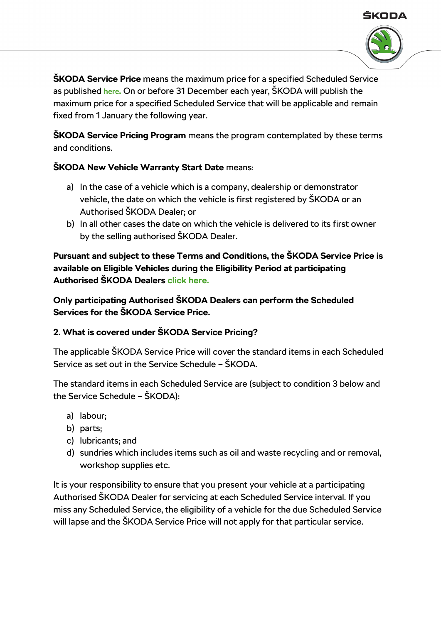



**ŠKODA Service Price** means the maximum price for a specified Scheduled Service as published **[here](https://au.skoda.com.au/service-pricing).** On or before 31 December each year, ŠKODA will publish the maximum price for a specified Scheduled Service that will be applicable and remain fixed from 1 January the following year.

**ŠKODA Service Pricing Program** means the program contemplated by these terms and conditions.

## **ŠKODA New Vehicle Warranty Start Date** means:

- a) In the case of a vehicle which is a company, dealership or demonstrator vehicle, the date on which the vehicle is first registered by ŠKODA or an Authorised ŠKODA Dealer; or
- b) In all other cases the date on which the vehicle is delivered to its first owner by the selling authorised ŠKODA Dealer.

**Pursuant and subject to these Terms and Conditions, the ŠKODA Service Price is available on Eligible Vehicles during the Eligibility Period at participating Authorised ŠKODA Dealers [click here.](http://dealers.skoda-auto.com/959/en-AU)**

**Only participating Authorised ŠKODA Dealers can perform the Scheduled Services for the ŠKODA Service Price.**

### **2. What is covered under ŠKODA Service Pricing?**

The applicable ŠKODA Service Price will cover the standard items in each Scheduled Service as set out in the Service Schedule – ŠKODA.

The standard items in each Scheduled Service are (subject to condition 3 below and the Service Schedule – ŠKODA):

- a) labour;
- b) parts;
- c) lubricants; and
- d) sundries which includes items such as oil and waste recycling and or removal, workshop supplies etc.

It is your responsibility to ensure that you present your vehicle at a participating Authorised ŠKODA Dealer for servicing at each Scheduled Service interval. If you miss any Scheduled Service, the eligibility of a vehicle for the due Scheduled Service will lapse and the ŠKODA Service Price will not apply for that particular service.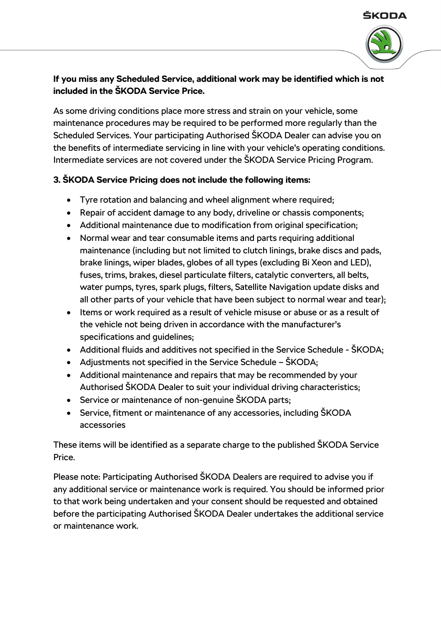#### ŠKODA



## **If you miss any Scheduled Service, additional work may be identified which is not included in the ŠKODA Service Price.**

As some driving conditions place more stress and strain on your vehicle, some maintenance procedures may be required to be performed more regularly than the Scheduled Services. Your participating Authorised ŠKODA Dealer can advise you on the benefits of intermediate servicing in line with your vehicle's operating conditions. Intermediate services are not covered under the ŠKODA Service Pricing Program.

## **3. ŠKODA Service Pricing does not include the following items:**

- Tyre rotation and balancing and wheel alignment where required;
- Repair of accident damage to any body, driveline or chassis components;
- Additional maintenance due to modification from original specification;
- Normal wear and tear consumable items and parts requiring additional maintenance (including but not limited to clutch linings, brake discs and pads, brake linings, wiper blades, globes of all types (excluding Bi Xeon and LED), fuses, trims, brakes, diesel particulate filters, catalytic converters, all belts, water pumps, tyres, spark plugs, filters, Satellite Navigation update disks and all other parts of your vehicle that have been subject to normal wear and tear);
- Items or work required as a result of vehicle misuse or abuse or as a result of the vehicle not being driven in accordance with the manufacturer's specifications and guidelines;
- Additional fluids and additives not specified in the Service Schedule ŠKODA;
- Adjustments not specified in the Service Schedule ŠKODA;
- Additional maintenance and repairs that may be recommended by your Authorised ŠKODA Dealer to suit your individual driving characteristics;
- Service or maintenance of non-genuine ŠKODA parts;
- Service, fitment or maintenance of any accessories, including SKODA accessories

These items will be identified as a separate charge to the published ŠKODA Service Price.

Please note: Participating Authorised ŠKODA Dealers are required to advise you if any additional service or maintenance work is required. You should be informed prior to that work being undertaken and your consent should be requested and obtained before the participating Authorised ŠKODA Dealer undertakes the additional service or maintenance work.